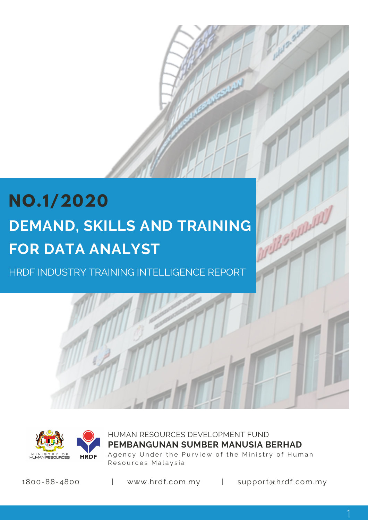# **NO.1/2020 DEMAND, SKILLS AND TRAINING FOR DATA ANALYST**

HRDF INDUSTRY TRAINING INTELLIGENCE REPORT



HUMAN RESOURCES DEVELOPMENT FUND Agency Under the Purview of the Ministry of Human Resources Malaysia **PEMBANGUNAN SUMBER MANUSIA BERHAD**

1800-88-4800 | www.hrdf.com.my | support@hrdf.com.my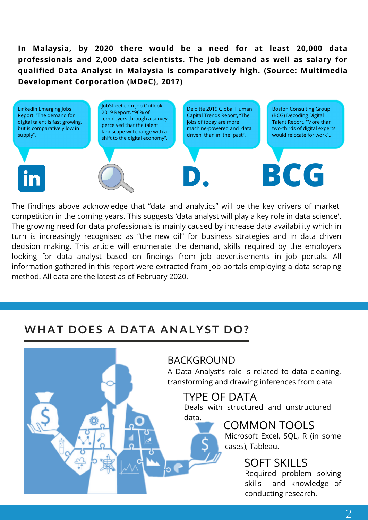**In Malaysia, by 2020 there would be a need for at least 20,000 data professionals and 2,000 data scientists. The job demand as well as salary for qualified Data Analyst in Malaysia is comparatively high. (Source: Multimedia Development Corporation (MDeC), 2017)**



The findings above acknowledge that "data and analytics" will be the key drivers of market competition in the coming years. This suggests 'data analyst will play a key role in data science'. The growing need for data professionals is mainly caused by increase data availability which in turn is increasingly recognised as "the new oil" for business strategies and in data driven decision making. This article will enumerate the demand, skills required by the employers looking for data analyst based on findings from job advertisements in job portals. All information gathered in this report were extracted from job portals employing a data scraping method. All data are the latest as of February 2020.

### **WHAT DOES A DATA ANALYST DO?**

BACKGROUND

A Data Analyst's role is related to data cleaning, transforming and drawing inferences from data.

### TYPE OF DATA

Deals with structured and unstructured data.

COMMON TOOLS



### SOFT SKILLS

Required problem solving skills and knowledge of conducting research.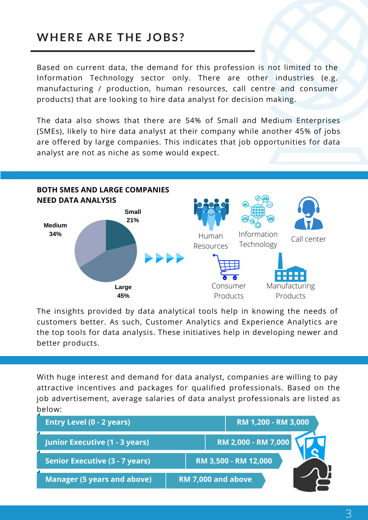### **WHERE ARE THE JOBS?**

Based on current data, the demand for this profession is not limited to the Information Technology sector only. There are other industries (e.g. manufacturing / production, human resources, call centre and consumer products) that are looking to hire data analyst for decision making.

The data also shows that there are 54% of Small and Medium Enterprises (SMEs), likely to hire data analyst at their company while another 45% of jobs are offered by large companies. This indicates that job opportunities for data analyst are not as niche as some would expect.



The insights provided by data analytical tools help in knowing the needs of customers better. As such, Customer Analytics and Experience Analytics are the top tools for data analysis. These initiatives help in developing newer and better products.

With huge interest and demand for data analyst, companies are willing to pay attractive incentives and packages for qualified professionals. Based on the job advertisement, average salaries of data analyst professionals are listed as below:

| <b>Entry Level (0 - 2 years)</b>      | RM 1,200 - RM 3,000        |
|---------------------------------------|----------------------------|
| Junior Executive (1 - 3 years)        | <b>RM 2,000 - RM 7,000</b> |
| <b>Senior Executive (3 - 7 years)</b> | RM 3,500 - RM 12,000       |
| <b>Manager (5 years and above)</b>    | <b>RM 7,000 and above</b>  |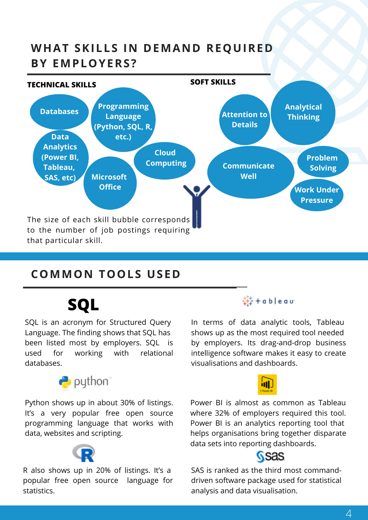## **WHAT SKILLS IN DEMAND REQUIRED BY EMPLOYERS?**



### **COMMON TOOLS USED**

## **SQL**

SQL is an acronym for Structured Query Language. The finding shows that SQL has been listed most by employers. SQL is used for working with relational databases.



Python shows up in about 30% of listings. It's a very popular free open source programming language that works with data, websites and scripting.



R also shows up in 20% of listings. It's a popular free open source language for statistics.

### 链+ableau

In terms of data analytic tools, Tableau shows up as the most required tool needed by employers. Its drag-and-drop business intelligence software makes it easy to create visualisations and dashboards.



Power BI is almost as common as Tableau where 32% of employers required this tool. Power BI is an analytics reporting tool that helps organisations bring together disparate data sets into reporting dashboards.

### **SSAS**

SAS is ranked as the third most command driven software package used for statistical analysis and data visualisation.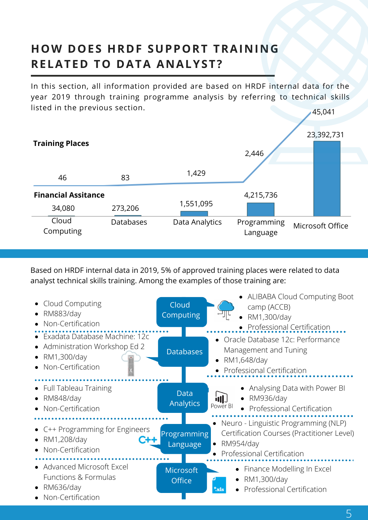## **HOW DOES HRDF SUPPORT TRAINING RELATED TO DATA ANALYST?**

In this section, all information provided are based on HRDF internal data for the year 2019 through training programme analysis by referring to technical skills listed in the previous section. 45,041



Based on HRDF internal data in 2019, 5% of approved training places were related to data analyst technical skills training. Among the examples of those training are:

| Cloud Computing<br>RM883/day<br>Non-Certification                                                   | Cloud<br>Computing                | • ALIBABA Cloud Computing Boot<br>camp (ACCB)<br>RM1,300/day<br>$\bullet$<br>• Professional Certification                                  |
|-----------------------------------------------------------------------------------------------------|-----------------------------------|--------------------------------------------------------------------------------------------------------------------------------------------|
| • Exadata Database Machine: 12c<br>Administration Workshop Ed 2<br>RM1,300/day<br>Non-Certification | <b>Databases</b>                  | • Oracle Database 12c: Performance<br>Management and Tuning<br>RM1,648/day<br><b>Professional Certification</b>                            |
| <b>Full Tableau Training</b><br><b>RM848/day</b><br>Non-Certification                               | <b>Data</b><br>Analytics          | Analysing Data with Power BI<br>$\bullet$ RM936/day<br>Power BI<br><b>Professional Certification</b>                                       |
| • C++ Programming for Engineers<br>RM1,208/day<br>$C + 4$<br>Non-Certification                      | Programming<br>Language           | Neuro - Linguistic Programming (NLP)<br>Certification Courses (Practitioner Level)<br>RM954/day<br>$\bullet$<br>Professional Certification |
| • Advanced Microsoft Excel<br>Functions & Formulas<br>RM636/day<br>Non-Certification                | <b>Microsoft</b><br><b>Office</b> | • Finance Modelling In Excel<br>RM1,300/day<br>$\bullet$<br><b>Professional Certification</b><br>$*_{\mathbf{x} \mathbf{ls}}$              |